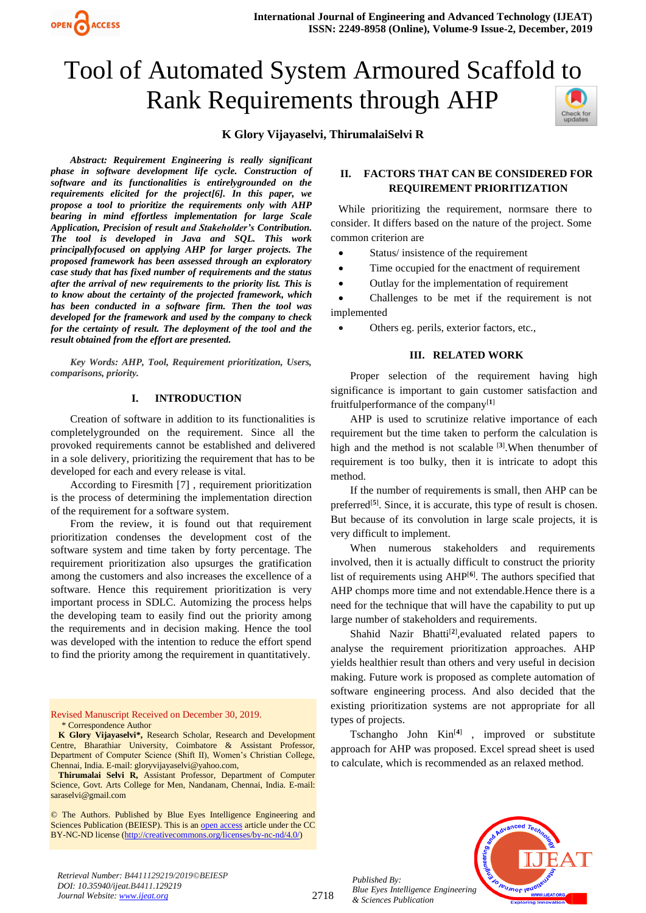# Tool of Automated System Armoured Scaffold to Rank Requirements through AHP Check for<br>updates



*Abstract: Requirement Engineering is really significant phase in software development life cycle. Construction of software and its functionalities is entirelygrounded on the requirements elicited for the project[6]. In this paper, we propose a tool to prioritize the requirements only with AHP bearing in mind effortless implementation for large Scale Application, Precision of result and Stakeholder's Contribution. The tool is developed in Java and SQL. This work principallyfocused on applying AHP for larger projects. The proposed framework has been assessed through an exploratory case study that has fixed number of requirements and the status after the arrival of new requirements to the priority list. This is to know about the certainty of the projected framework, which has been conducted in a software firm. Then the tool was developed for the framework and used by the company to check for the certainty of result. The deployment of the tool and the result obtained from the effort are presented.*

OPEN CACCESS

*Key Words: AHP, Tool, Requirement prioritization, Users, comparisons, priority.*

#### **I. INTRODUCTION**

Creation of software in addition to its functionalities is completelygrounded on the requirement. Since all the provoked requirements cannot be established and delivered in a sole delivery, prioritizing the requirement that has to be developed for each and every release is vital.

According to Firesmith [7] , requirement prioritization is the process of determining the implementation direction of the requirement for a software system.

From the review, it is found out that requirement prioritization condenses the development cost of the software system and time taken by forty percentage. The requirement prioritization also upsurges the gratification among the customers and also increases the excellence of a software. Hence this requirement prioritization is very important process in SDLC. Automizing the process helps the developing team to easily find out the priority among the requirements and in decision making. Hence the tool was developed with the intention to reduce the effort spend to find the priority among the requirement in quantitatively.

Revised Manuscript Received on December 30, 2019. \* Correspondence Author

**K Glory Vijayaselvi\*,** Research Scholar, Research and Development Centre, Bharathiar University, Coimbatore & Assistant Professor, Department of Computer Science (Shift II), Women's Christian College, Chennai, India. E-mail[: gloryvijayaselvi@yahoo.com,](mailto:gloryvijayaselvi@yahoo.com)

**Thirumalai Selvi R,** Assistant Professor, Department of Computer Science, Govt. Arts College for Men, Nandanam, Chennai, India. E-mail: [saraselvi@gmail.com](mailto:saraselvi@gmail.com)

© The Authors. Published by Blue Eyes Intelligence Engineering and Sciences Publication (BEIESP). This is a[n open access](https://www.openaccess.nl/en/open-publications) article under the CC BY-NC-ND license [\(http://creativecommons.org/licenses/by-nc-nd/4.0/\)](http://creativecommons.org/licenses/by-nc-nd/4.0/)

# **II. FACTORS THAT CAN BE CONSIDERED FOR REQUIREMENT PRIORITIZATION**

While prioritizing the requirement, normsare there to consider. It differs based on the nature of the project. Some common criterion are

- Status/insistence of the requirement
- Time occupied for the enactment of requirement
- Outlay for the implementation of requirement

• Challenges to be met if the requirement is not implemented

• Others eg. perils, exterior factors, etc.,

#### **III. RELATED WORK**

Proper selection of the requirement having high significance is important to gain customer satisfaction and fruitfulperformance of the company[**1**]

AHP is used to scrutinize relative importance of each requirement but the time taken to perform the calculation is high and the method is not scalable [**3**] .When thenumber of requirement is too bulky, then it is intricate to adopt this method.

If the number of requirements is small, then AHP can be preferred<sup>[5]</sup>. Since, it is accurate, this type of result is chosen. But because of its convolution in large scale projects, it is very difficult to implement.

When numerous stakeholders and requirements involved, then it is actually difficult to construct the priority list of requirements using AHP[**6**] . The authors specified that AHP chomps more time and not extendable.Hence there is a need for the technique that will have the capability to put up large number of stakeholders and requirements.

Shahid Nazir Bhatti<sup>[2]</sup>, evaluated related papers to analyse the requirement prioritization approaches. AHP yields healthier result than others and very useful in decision making. Future work is proposed as complete automation of software engineering process. And also decided that the existing prioritization systems are not appropriate for all types of projects.

Tschangho John Kin[**4**] , improved or substitute approach for AHP was proposed. Excel spread sheet is used to calculate, which is recommended as an relaxed method.



*Retrieval Number: B4411129219/2019©BEIESP DOI: 10.35940/ijeat.B4411.129219 Journal Website: [www.ijeat.org](http://www.ijeat.org/)*

*Published By:*

*& Sciences Publication*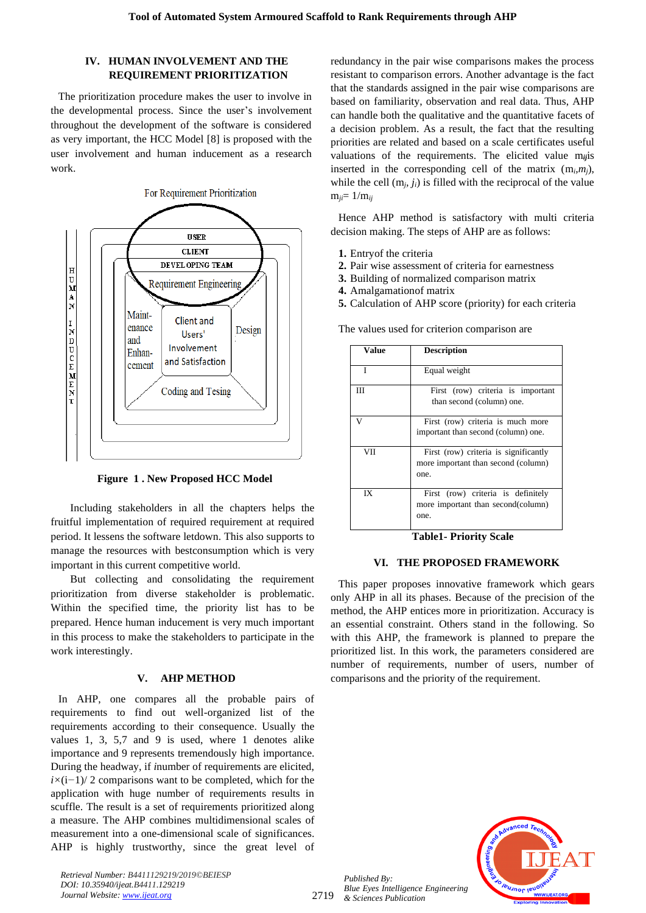## **IV. HUMAN INVOLVEMENT AND THE REQUIREMENT PRIORITIZATION**

The prioritization procedure makes the user to involve in the developmental process. Since the user's involvement throughout the development of the software is considered as very important, the HCC Model [8] is proposed with the user involvement and human inducement as a research work.



**Figure 1 . New Proposed HCC Model**

Including stakeholders in all the chapters helps the fruitful implementation of required requirement at required period. It lessens the software letdown. This also supports to manage the resources with bestconsumption which is very important in this current competitive world.

But collecting and consolidating the requirement prioritization from diverse stakeholder is problematic. Within the specified time, the priority list has to be prepared. Hence human inducement is very much important in this process to make the stakeholders to participate in the work interestingly.

## **V. AHP METHOD**

In AHP, one compares all the probable pairs of requirements to find out well-organized list of the requirements according to their consequence. Usually the values 1, 3, 5,7 and 9 is used, where 1 denotes alike importance and 9 represents tremendously high importance. During the headway, if *i*number of requirements are elicited, *i*×(i−1)/ 2 comparisons want to be completed, which for the application with huge number of requirements results in scuffle. The result is a set of requirements prioritized along a measure. The AHP combines multidimensional scales of measurement into a one-dimensional scale of significances. AHP is highly trustworthy, since the great level of redundancy in the pair wise comparisons makes the process resistant to comparison errors. Another advantage is the fact that the standards assigned in the pair wise comparisons are based on familiarity, observation and real data. Thus, AHP can handle both the qualitative and the quantitative facets of a decision problem. As a result, the fact that the resulting priorities are related and based on a scale certificates useful valuations of the requirements. The elicited value m*ij*is inserted in the corresponding cell of the matrix  $(m_i, m_j)$ , while the cell  $(m_i, j_i)$  is filled with the reciprocal of the value  $m_{ii} = 1/m_{ij}$ 

Hence AHP method is satisfactory with multi criteria decision making. The steps of AHP are as follows:

- **1.** Entryof the criteria
- **2.** Pair wise assessment of criteria for earnestness
- **3.** Building of normalized comparison matrix
- **4.** Amalgamationof matrix
- **5.** Calculation of AHP score (priority) for each criteria

The values used for criterion comparison are

| Value | <b>Description</b>                                                                   |
|-------|--------------------------------------------------------------------------------------|
| T     | Equal weight                                                                         |
| Ш     | First (row) criteria is important<br>than second (column) one.                       |
| v     | First (row) criteria is much more<br>important than second (column) one.             |
| VII   | First (row) criteria is significantly<br>more important than second (column)<br>one. |
| IX    | First (row) criteria is definitely<br>more important than second(column)<br>one.     |

**Table1- Priority Scale**

#### **VI. THE PROPOSED FRAMEWORK**

This paper proposes innovative framework which gears only AHP in all its phases. Because of the precision of the method, the AHP entices more in prioritization. Accuracy is an essential constraint. Others stand in the following. So with this AHP, the framework is planned to prepare the prioritized list. In this work, the parameters considered are number of requirements, number of users, number of comparisons and the priority of the requirement.



*Retrieval Number: B4411129219/2019©BEIESP DOI: 10.35940/ijeat.B4411.129219 Journal Website: [www.ijeat.org](http://www.ijeat.org/)*

2719

*Published By: Blue Eyes Intelligence Engineering & Sciences Publication*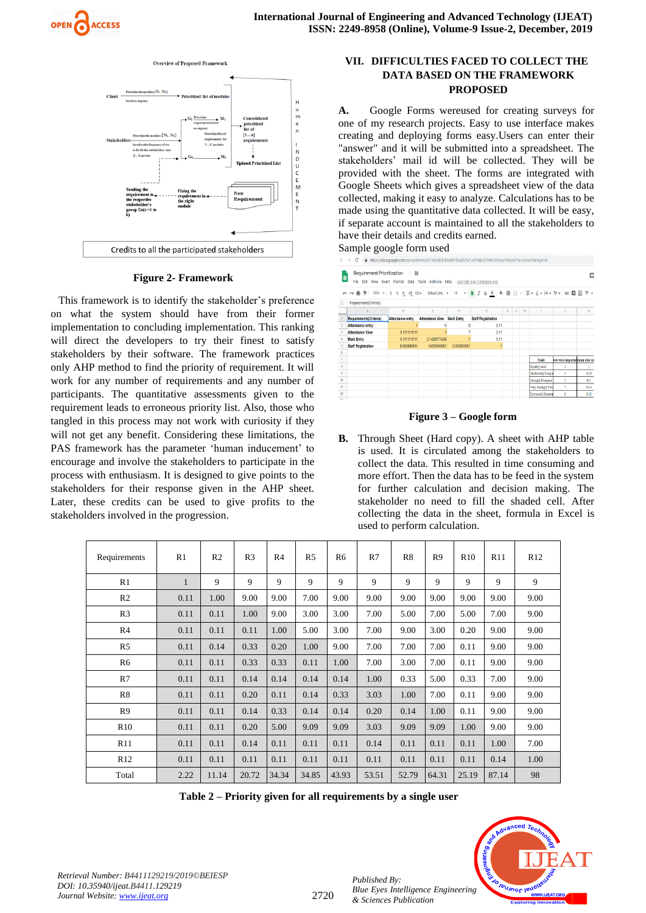



## **Figure 2- Framework**

This framework is to identify the stakeholder's preference on what the system should have from their former implementation to concluding implementation. This ranking will direct the developers to try their finest to satisfy stakeholders by their software. The framework practices only AHP method to find the priority of requirement. It will work for any number of requirements and any number of participants. The quantitative assessments given to the requirement leads to erroneous priority list. Also, those who tangled in this process may not work with curiosity if they will not get any benefit. Considering these limitations, the PAS framework has the parameter 'human inducement' to encourage and involve the stakeholders to participate in the process with enthusiasm. It is designed to give points to the stakeholders for their response given in the AHP sheet. Later, these credits can be used to give profits to the stakeholders involved in the progression.

# **VII. DIFFICULTIES FACED TO COLLECT THE DATA BASED ON THE FRAMEWORK PROPOSED**

**A.** Google Forms wereused for creating surveys for one of my research projects. Easy to use interface makes creating and deploying forms easy.Users can enter their "answer" and it will be submitted into a spreadsheet. The stakeholders' mail id will be collected. They will be provided with the sheet. The forms are integrated with Google Sheets which gives a spreadsheet view of the data collected, making it easy to analyze. Calculations has to be made using the quantitative data collected. It will be easy, if separate account is maintained to all the stakeholders to have their details and credits earned.

Sample google form used

| $\leftarrow$             | $\rightarrow$<br>C                                                                                              |                                                                            |                        |                   | https://docs.google.com/spreadsheets/d/1ANx0IGUHNnPUIDwBLPp2-xXFINkzLOtWXLKhXqw5tfl/edit?ts=5ddab58c#qid=0 |    |             |   |                          |                               |      |
|--------------------------|-----------------------------------------------------------------------------------------------------------------|----------------------------------------------------------------------------|------------------------|-------------------|------------------------------------------------------------------------------------------------------------|----|-------------|---|--------------------------|-------------------------------|------|
| 圕                        | Requirement Prioritization Requirement<br>File                                                                  | Edit View Insert Format Data Tools Add-ons Help Lastedit was 5 minutes ago |                        |                   |                                                                                                            |    |             |   |                          |                               |      |
|                          | い ~ ● ₱│100% ~│\$ % .0_00_123~│ Default(AtL ~│10 - ▽ B / <del>\$</del> A │ �े 田 ⊞ ▽ │ H ~ →  ├~ ♡ ~│ 6D 圓 国 ▽ ~ |                                                                            |                        |                   |                                                                                                            |    |             |   |                          |                               |      |
| fx                       | Requirements(Criteria)                                                                                          |                                                                            |                        |                   |                                                                                                            |    |             |   |                          |                               |      |
|                          | A                                                                                                               | B                                                                          | c                      | Ð                 | E                                                                                                          | F. | $\mathsf G$ | н |                          | J                             | K.   |
|                          | Requirements (Criteria)                                                                                         | Attendance entry                                                           | <b>Attendance View</b> | <b>Mark Entry</b> | <b>Staff Registration</b>                                                                                  |    |             |   |                          |                               |      |
| $\overline{\phantom{a}}$ | Attendance entry                                                                                                |                                                                            |                        | g                 | 0.11                                                                                                       |    |             |   |                          |                               |      |
| $\overline{3}$           | <b>Attendance View</b>                                                                                          | 0.111111111                                                                |                        |                   | 011                                                                                                        |    |             |   |                          |                               |      |
| 4                        | <b>Mark Entry</b>                                                                                               | 0.111111111                                                                | 0.1428571429           |                   | 0.11                                                                                                       |    |             |   |                          |                               |      |
| 5                        | <b>Staff Registration</b>                                                                                       | 9.090909091                                                                | 9.090909091            | 9,090909091       |                                                                                                            |    |             |   |                          |                               |      |
| ĥ                        |                                                                                                                 |                                                                            |                        |                   |                                                                                                            |    |             |   |                          |                               |      |
| $\tau$                   |                                                                                                                 |                                                                            |                        |                   |                                                                                                            |    |             |   | Scale                    | tow wise importantumn wise im |      |
| $\overline{a}$           |                                                                                                                 |                                                                            |                        |                   |                                                                                                            |    |             |   | Equally used             |                               |      |
| $\overline{a}$           |                                                                                                                 |                                                                            |                        |                   |                                                                                                            |    |             |   | Moderately Freque        | 3                             | 0.33 |
| 10                       |                                                                                                                 |                                                                            |                        |                   |                                                                                                            |    |             |   | <b>Strongly Frequent</b> | Š                             | 0.2  |
| 11                       |                                                                                                                 |                                                                            |                        |                   |                                                                                                            |    |             |   | Very Strongly Fred       | þ,                            | 0.14 |
| 12                       |                                                                                                                 |                                                                            |                        |                   |                                                                                                            |    |             |   | <b>Extremely Frequen</b> | 9                             | 0.11 |

## **Figure 3 – Google form**

**B.** Through Sheet (Hard copy). A sheet with AHP table is used. It is circulated among the stakeholders to collect the data. This resulted in time consuming and more effort. Then the data has to be feed in the system for further calculation and decision making. The stakeholder no need to fill the shaded cell. After collecting the data in the sheet, formula in Excel is used to perform calculation.

| Requirements   | R1           | R <sub>2</sub> | R <sub>3</sub> | R <sub>4</sub> | R <sub>5</sub> | R <sub>6</sub> | R7    | R8    | R <sub>9</sub> | R10   | R11   | R12  |
|----------------|--------------|----------------|----------------|----------------|----------------|----------------|-------|-------|----------------|-------|-------|------|
| R1             | $\mathbf{1}$ | 9              | 9              | 9              | 9              | 9              | 9     | 9     | 9              | 9     | 9     | 9    |
| R <sub>2</sub> | 0.11         | 1.00           | 9.00           | 9.00           | 7.00           | 9.00           | 9.00  | 9.00  | 9.00           | 9.00  | 9.00  | 9.00 |
| R <sub>3</sub> | 0.11         | 0.11           | 1.00           | 9.00           | 3.00           | 3.00           | 7.00  | 5.00  | 7.00           | 5.00  | 7.00  | 9.00 |
| R <sub>4</sub> | 0.11         | 0.11           | 0.11           | 1.00           | 5.00           | 3.00           | 7.00  | 9.00  | 3.00           | 0.20  | 9.00  | 9.00 |
| R <sub>5</sub> | 0.11         | 0.14           | 0.33           | 0.20           | 1.00           | 9.00           | 7.00  | 7.00  | 7.00           | 0.11  | 9.00  | 9.00 |
| R <sub>6</sub> | 0.11         | 0.11           | 0.33           | 0.33           | 0.11           | 1.00           | 7.00  | 3.00  | 7.00           | 0.11  | 9.00  | 9.00 |
| R7             | 0.11         | 0.11           | 0.14           | 0.14           | 0.14           | 0.14           | 1.00  | 0.33  | 5.00           | 0.33  | 7.00  | 9.00 |
| R8             | 0.11         | 0.11           | 0.20           | 0.11           | 0.14           | 0.33           | 3.03  | 1.00  | 7.00           | 0.11  | 9.00  | 9.00 |
| R <sub>9</sub> | 0.11         | 0.11           | 0.14           | 0.33           | 0.14           | 0.14           | 0.20  | 0.14  | 1.00           | 0.11  | 9.00  | 9.00 |
| R10            | 0.11         | 0.11           | 0.20           | 5.00           | 9.09           | 9.09           | 3.03  | 9.09  | 9.09           | 1.00  | 9.00  | 9.00 |
| R11            | 0.11         | 0.11           | 0.14           | 0.11           | 0.11           | 0.11           | 0.14  | 0.11  | 0.11           | 0.11  | 1.00  | 7.00 |
| R12            | 0.11         | 0.11           | 0.11           | 0.11           | 0.11           | 0.11           | 0.11  | 0.11  | 0.11           | 0.11  | 0.14  | 1.00 |
| Total          | 2.22         | 11.14          | 20.72          | 34.34          | 34.85          | 43.93          | 53.51 | 52.79 | 64.31          | 25.19 | 87.14 | 98   |

**Table 2 – Priority given for all requirements by a single user**



*Retrieval Number: B4411129219/2019©BEIESP DOI: 10.35940/ijeat.B4411.129219 Journal Website: [www.ijeat.org](http://www.ijeat.org/)*

*Published By:*

*& Sciences Publication*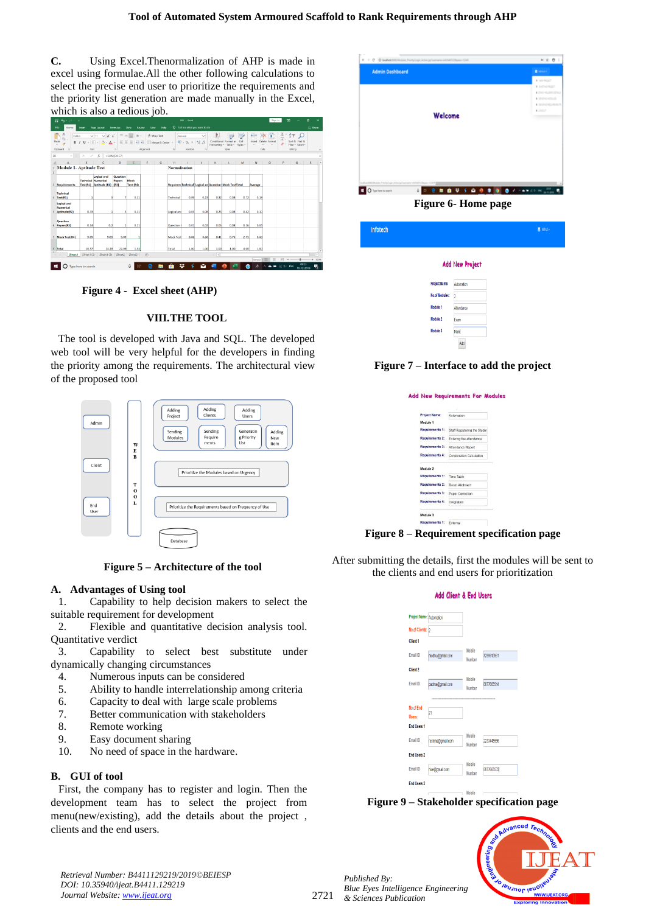**C.** Using Excel.Thenormalization of AHP is made in excel using formulae.All the other following calculations to select the precise end user to prioritize the requirements and the priority list generation are made manually in the Excel, which is also a tedious job.

|    | 目のペード                                                    |                     |                                                                                                                                    |                            |                                                                                                                                   |                             |             |                      | M1 - Facel                              |        |                     |                                                         |                  |                           | Sign in            | $\mathbf{a}$   |                                                              | п                   | $\times$                      |
|----|----------------------------------------------------------|---------------------|------------------------------------------------------------------------------------------------------------------------------------|----------------------------|-----------------------------------------------------------------------------------------------------------------------------------|-----------------------------|-------------|----------------------|-----------------------------------------|--------|---------------------|---------------------------------------------------------|------------------|---------------------------|--------------------|----------------|--------------------------------------------------------------|---------------------|-------------------------------|
|    | File<br>Home.                                            | Insert              | Page Leyout                                                                                                                        | Formulas                   | Data<br>Review                                                                                                                    | View                        | Help        | o                    | Tell me what you want to do             |        |                     |                                                         |                  |                           |                    |                |                                                              | $Q$ . Shere         |                               |
|    | Calibri<br>h.<br>Paste<br>$B$ $I$<br>Clicboard<br>$\sim$ | Font                | $\vee$ 11 $\vee$ A <sup>'</sup> A <sup>'</sup><br>$\mathsf{U} \cdot \mathsf{H} \cdot \mathsf{O} \cdot \mathsf{A} \cdot \mathsf{I}$ | $\sim$                     | $=$ = = $\phi$ .<br>$\equiv \equiv \equiv \equiv \equiv \boxdot \otimes \text{Mergr} \ \& \ \text{Center} \ \ \text{\textdegree}$ | Alignment                   | # Wrap Text | rs.                  | General<br><b>平</b> % , 2 % %<br>Number | $\sim$ |                     | Conditional Format as<br>Formatting - Table -<br>Styles | Cell<br>Styles - | 됍<br>Insert<br>÷<br>Cells | E<br>Delete Format | Σ<br>급.<br>. د | $A_{\rm w}$<br>Sort & Find &<br>Filter - Select -<br>Editing |                     | $\widehat{\phantom{a}}$       |
| E8 | $\sim$ .                                                 | X<br>$\mathcal{A}$  | fr.                                                                                                                                | $=SUM(E4:E7)$              |                                                                                                                                   |                             |             |                      |                                         |        |                     |                                                         |                  |                           |                    |                |                                                              |                     | v                             |
|    | A                                                        | $\mathbb{R}$        | C                                                                                                                                  | D                          |                                                                                                                                   |                             | G           |                      |                                         |        |                     |                                                         | M                | N                         | $\circ$            | p              | $\circ$                                                      | $\mathsf{R}$        | ×                             |
|    | <b>Module 1- Aptitude Test</b>                           |                     |                                                                                                                                    |                            |                                                                                                                                   |                             |             | <b>Normalisation</b> |                                         |        |                     |                                                         |                  |                           |                    |                |                                                              |                     |                               |
|    | <b>Requirements</b>                                      |                     | Logical and<br><b>Technical Numerical</b><br>Test(R1) Aptitude (R2)                                                                | Question<br>Papers<br>(R3) | Mock<br>Test (R4)                                                                                                                 |                             |             |                      |                                         |        |                     | Requirem Technical Logical an Question Mock Test Total  |                  | Average                   |                    |                |                                                              |                     |                               |
|    | Technical<br>Test(R1)                                    | 1                   |                                                                                                                                    |                            | 0.11                                                                                                                              |                             |             | Technical            | 0.09                                    | 0.21   | 0.32                | 0.08                                                    | 0.72             | 0.18                      |                    |                |                                                              |                     |                               |
|    | <b>Logical and</b><br>Numerical<br>Aptitude(R2)          | 0.33                |                                                                                                                                    |                            | 0.11                                                                                                                              |                             |             | Logical and          | 0.03                                    | 0.08   | 0.23                | 0.08                                                    | 0.42             | 0.10                      |                    |                |                                                              |                     |                               |
|    | Question<br>6 Papers(R3)                                 | 0.14                | 0.2                                                                                                                                |                            | 0.11                                                                                                                              |                             |             | Question             | 0.01                                    | 0.02   | 0.05                | 0.08                                                    | 0.16             | 0.04                      |                    |                |                                                              |                     |                               |
|    | Mock Test(R4)                                            | 9.09                | 9.09                                                                                                                               | 9.09                       |                                                                                                                                   |                             |             | <b>Mock Test</b>     | 0.86                                    | 0.68   | 0.41                | 0.75                                                    | 2.71             | 0.68                      |                    |                |                                                              |                     |                               |
|    | Total<br>Sheet1<br>$\leftarrow$                          | 10.57               | 13.29<br>Sheet1 (2) Sheet1 (3)                                                                                                     | 22.09                      | 1.33<br>Sheet2 Sheet3                                                                                                             | $\left( \widehat{+}\right)$ |             | Total                | 1.00                                    | 1.00   | 1.00<br>$  \cdot  $ | 1.00                                                    | 4.00             | 1.00                      |                    |                |                                                              |                     | ٠<br>$\overline{\phantom{a}}$ |
|    |                                                          |                     |                                                                                                                                    |                            |                                                                                                                                   |                             |             |                      |                                         |        |                     |                                                         |                  | People                    |                    |                |                                                              | ÷                   | 102%                          |
|    |                                                          | Type here to search |                                                                                                                                    |                            | o                                                                                                                                 |                             |             | ٠                    |                                         |        |                     |                                                         |                  |                           |                    |                | ENG                                                          | 03/23<br>10-12-2019 | 啺                             |

**Figure 4 - Excel sheet (AHP)**

## **VIII.THE TOOL**

The tool is developed with Java and SQL. The developed web tool will be very helpful for the developers in finding the priority among the requirements. The architectural view of the proposed tool



**Figure 5 – Architecture of the tool**

# **A. Advantages of Using tool**

1. Capability to help decision makers to select the suitable requirement for development

2. Flexible and quantitative decision analysis tool. Quantitative verdict

3. Capability to select best substitute under dynamically changing circumstances

- 4. Numerous inputs can be considered
- 5. Ability to handle interrelationship among criteria
- 6. Capacity to deal with large scale problems
- 7. Better communication with stakeholders
- 8. Remote working
- 9. Easy document sharing
- 10. No need of space in the hardware.

# **B. GUI of tool**

First, the company has to register and login. Then the development team has to select the project from menu(new/existing), add the details about the project , clients and the end users.



**Figure 6- Home page**

| Infotech       |                 | SHENS- |
|----------------|-----------------|--------|
|                | Add New Project |        |
| Project Name:  | Automation      |        |
| No.of Modules: | $\overline{3}$  |        |
| Module 1       | Attendance      |        |
| Module 2       | Exam            |        |
| Module 3       | Mark            |        |
|                | Add             |        |

# **Figure 7 – Interface to add the project**

| <b>Project Name:</b>   | Automation                   |
|------------------------|------------------------------|
| Module 1               |                              |
| Requirements 1:        | Staff Registering the Studer |
| Requirements 2:        | Entering the attendance      |
| Requirements 3:        | Attendance Report            |
| Requirements 4:        | Contonation Calculation      |
| Module 2               |                              |
| Requirements 1:        | Time Tahle                   |
| <b>Requirements 2:</b> | Room Allotment               |
| Requirements 3:        | Paper Correction             |
| Requirements 4:        | Invigilation                 |

**Figure 8 – Requirement specification page**

After submitting the details, first the modules will be sent to the clients and end users for prioritization

## Add Client & End Lleeve

| Project Name: Automation |                  |                  |            |
|--------------------------|------------------|------------------|------------|
| No.of Clients: 2         |                  |                  |            |
| <b>Client 1</b>          |                  |                  |            |
| Email ID                 | madhu@gmail.com  | Mobile<br>Number | 7299913961 |
| Client <sub>2</sub>      |                  |                  |            |
| Fmail ID                 | padma@gmail.com  | Mobile<br>Number | 8877665544 |
|                          |                  |                  |            |
| No.of End                | $\overline{21}$  |                  |            |
| Users:                   |                  |                  |            |
| <b>Fnd Users 1</b>       |                  |                  |            |
| Email ID                 | reshma@omail.com | Mobile<br>Number | 2233445566 |
| <b>Fnd Users 2</b>       |                  |                  |            |
| Email ID                 | nive@gmail.com   | Mobile           | 8877665533 |
|                          |                  | Number           |            |
| <b>Find Users 3</b>      |                  |                  |            |
|                          |                  | -- - -           |            |

# **Figure 9 – Stakeholder specification page**





2721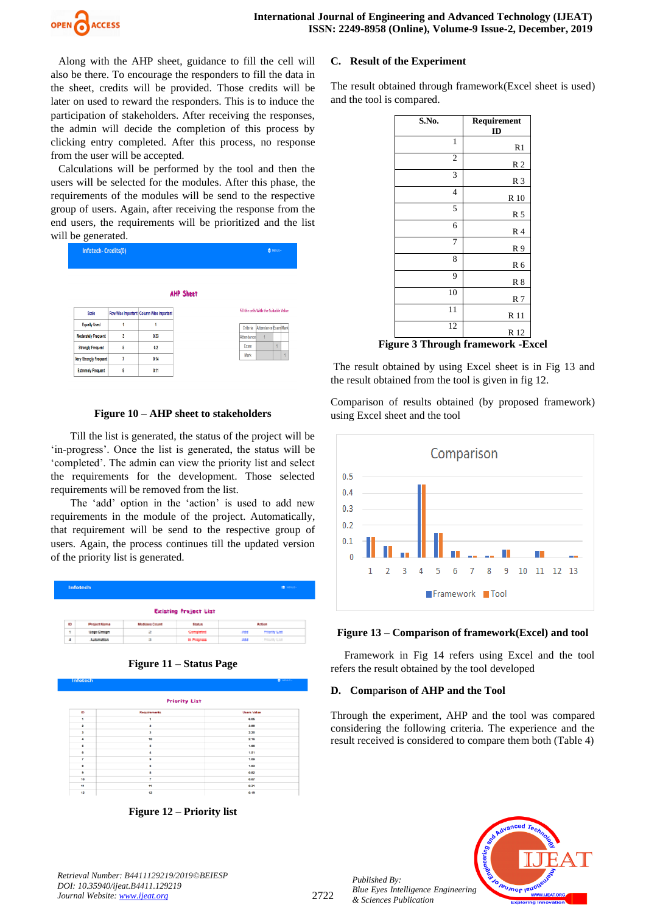

Along with the AHP sheet, guidance to fill the cell will also be there. To encourage the responders to fill the data in the sheet, credits will be provided. Those credits will be later on used to reward the responders. This is to induce the participation of stakeholders. After receiving the responses, the admin will decide the completion of this process by clicking entry completed. After this process, no response from the user will be accepted.

Calculations will be performed by the tool and then the users will be selected for the modules. After this phase, the requirements of the modules will be send to the respective group of users. Again, after receiving the response from the end users, the requirements will be prioritized and the list will be generated.

| Infotech-Credits(0)           |   |                                          |                  |            |                                        | <b>CENENUS-</b> |  |
|-------------------------------|---|------------------------------------------|------------------|------------|----------------------------------------|-----------------|--|
|                               |   |                                          | <b>AHP Sheet</b> |            |                                        |                 |  |
| Scale                         |   | Row Wise Important Column Wise Important |                  |            | Fill the cells With the Suitable Value |                 |  |
| <b>Equally Used</b>           | 1 |                                          |                  | Criteria   | Attendance Exam Mark                   |                 |  |
| <b>Moderately Frequent</b>    | 3 | 0.33                                     |                  | Attendance |                                        |                 |  |
| <b>Strongly Frequent</b>      | 5 | 0.2                                      |                  | Exam       |                                        |                 |  |
| <b>Very Strongly Frequent</b> | 7 | 0.14                                     |                  | Mark       |                                        |                 |  |
| <b>Extremely Frequent</b>     | 9 | 0.11                                     |                  |            |                                        |                 |  |

## **Figure 10 – AHP sheet to stakeholders**

Till the list is generated, the status of the project will be 'in-progress'. Once the list is generated, the status will be 'completed'. The admin can view the priority list and select the requirements for the development. Those selected requirements will be removed from the list.

The 'add' option in the 'action' is used to add new requirements in the module of the project. Automatically, that requirement will be send to the respective group of users. Again, the process continues till the updated version of the priority list is generated.

| Infotech<br><b>IBI</b> MONATO |                     |                      |                  |     |                   |  |  |  |
|-------------------------------|---------------------|----------------------|------------------|-----|-------------------|--|--|--|
| <b>Existing Project List</b>  |                     |                      |                  |     |                   |  |  |  |
|                               |                     |                      |                  |     |                   |  |  |  |
| _<br>161                      | <b>Project Name</b> | <b>Mudules Count</b> | <b>Blue Lake</b> |     | <b>Author:</b>    |  |  |  |
| ×                             | Login Centgen       | ä.                   | Completed        | Add | Printering G.Ind. |  |  |  |



| Requirements<br><b>Users Value</b><br>6.06<br>1<br>$\overline{\mathbf{z}}$<br>3.88<br>з<br>2.20<br>10<br>2.16<br>5<br>1.66<br>1.51<br>4<br>9<br>1.09<br>6<br>1.03<br>8<br>0.82<br>$\overline{\phantom{a}}$<br>0.67<br>11<br>0.31 |    | <b>Priority List</b> |  |
|----------------------------------------------------------------------------------------------------------------------------------------------------------------------------------------------------------------------------------|----|----------------------|--|
| 1<br>$\overline{\phantom{a}}$                                                                                                                                                                                                    | ID |                      |  |
| $\overline{\mathbf{z}}$<br>з<br>$\overline{a}$<br>6<br>6<br>8<br>9                                                                                                                                                               |    |                      |  |
|                                                                                                                                                                                                                                  |    |                      |  |
|                                                                                                                                                                                                                                  |    |                      |  |
|                                                                                                                                                                                                                                  |    |                      |  |
|                                                                                                                                                                                                                                  |    |                      |  |
|                                                                                                                                                                                                                                  |    |                      |  |
|                                                                                                                                                                                                                                  |    |                      |  |
|                                                                                                                                                                                                                                  |    |                      |  |
|                                                                                                                                                                                                                                  |    |                      |  |
|                                                                                                                                                                                                                                  | 10 |                      |  |
|                                                                                                                                                                                                                                  | 11 |                      |  |

**Figure 12 – Priority list**

#### **C. Result of the Experiment**

The result obtained through framework(Excel sheet is used) and the tool is compared.

| S.No.          | Requirement<br>ID                         |
|----------------|-------------------------------------------|
| $\mathbf{1}$   | R <sub>1</sub>                            |
| $\mathfrak{2}$ | R <sub>2</sub>                            |
| 3              | R <sub>3</sub>                            |
| $\overline{4}$ | R 10                                      |
| 5              | R 5                                       |
| 6              | R <sub>4</sub>                            |
| 7              | R <sub>9</sub>                            |
| 8              | R 6                                       |
| 9              | $R_8$                                     |
| 10             | R <sub>7</sub>                            |
| 11             | R 11                                      |
| 12             | R 12                                      |
|                | <b>Figure 3 Through framework - Excel</b> |

The result obtained by using Excel sheet is in Fig 13 and the result obtained from the tool is given in fig 12.

Comparison of results obtained (by proposed framework) using Excel sheet and the tool



## **Figure 13 – Comparison of framework(Excel) and tool**

 Framework in Fig 14 refers using Excel and the tool refers the result obtained by the tool developed

#### **D. Com**p**arison of AHP and the Tool**

Through the experiment, AHP and the tool was compared considering the following criteria. The experience and the result received is considered to compare them both (Table 4)



*Published By:*

*& Sciences Publication*